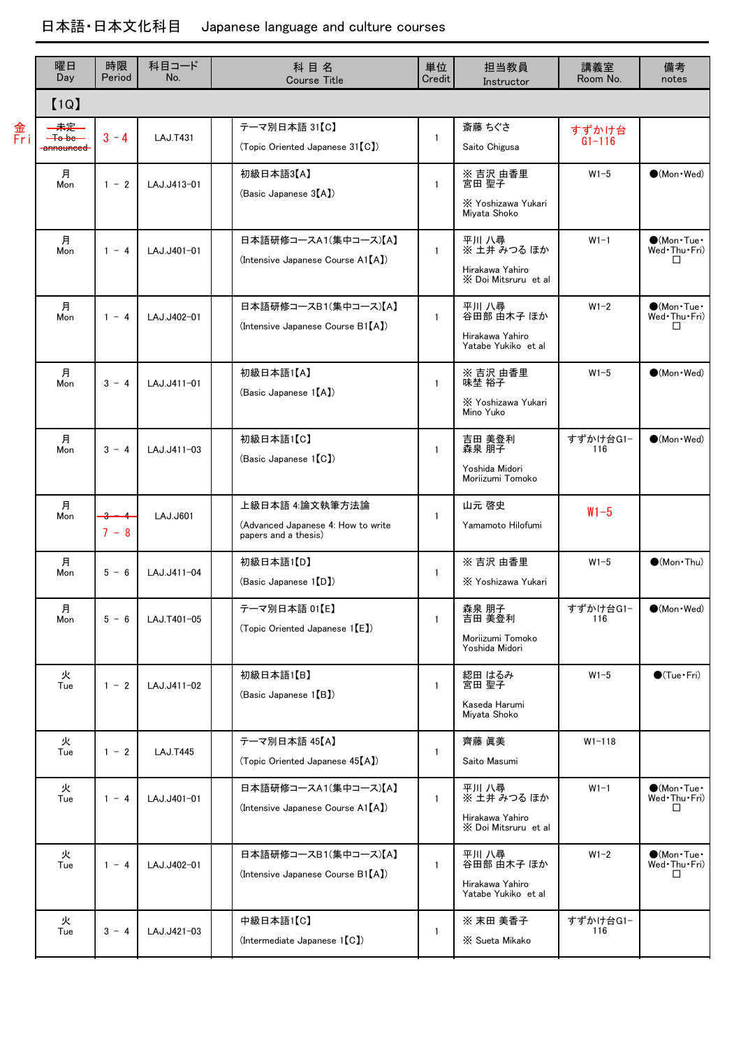|           | 曜日<br>Day                                        | 時限<br>Period | 科目コード<br>No.    | 科目名<br><b>Course Title</b>                                                    | 単位<br>Credit | 担当教員<br>Instructor                                              | 講義室<br>Room No.     | 備考<br>notes                                              |
|-----------|--------------------------------------------------|--------------|-----------------|-------------------------------------------------------------------------------|--------------|-----------------------------------------------------------------|---------------------|----------------------------------------------------------|
|           | [1Q]                                             |              |                 |                                                                               |              |                                                                 |                     |                                                          |
| 金<br>Fr i | 未定<br>— <del>To be</del><br><del>announced</del> | $3 - 4$      | <b>LAJ.T431</b> | テーマ別日本語 31【C】<br>(Topic Oriented Japanese 31 [C])                             | $\mathbf{1}$ | 斎藤 ちぐさ<br>Saito Chigusa                                         | すずかけ台<br>$G1 - 116$ |                                                          |
|           | 月<br>Mon                                         | $1 - 2$      | LAJ.J413-01     | 初級日本語3【A】<br>(Basic Japanese 3 <sup>[A])</sup>                                | $\mathbf{1}$ | ※ 吉沢 由香里<br>宮田 聖子<br>X Yoshizawa Yukari<br>Mivata Shoko         | $W1-5$              | $\bullet$ (Mon $\cdot$ Wed)                              |
|           | 月<br>Mon                                         | $1 - 4$      | LAJ.J401-01     | 日本語研修コースA1(集中コース)【A】<br>(Intensive Japanese Course A1[A])                     | $\mathbf{1}$ | 平川 八尋<br>※ 土井 みつる ほか<br>Hirakawa Yahiro<br>X Doi Mitsruru et al | $W1-1$              | $\bigcirc$ (Mon $\cdot$ Tue $\cdot$<br>Wed Thu Fri)<br>□ |
|           | 月<br>Mon                                         | $1 - 4$      | LAJ.J402-01     | 日本語研修コースB1(集中コース)【A】<br>(Intensive Japanese Course B1[A])                     | $\mathbf{1}$ | 平川 八尋<br>谷田部 由木子 ほか<br>Hirakawa Yahiro<br>Yatabe Yukiko et al   | $W1-2$              | $\bigcirc$ (Mon $\cdot$ Tue $\cdot$<br>Wed Thu Fri)<br>□ |
|           | 月<br>Mon                                         | $3 - 4$      | LAJ.J411-01     | 初級日本語1【A】<br>(Basic Japanese 1 [A])                                           | $\mathbf{1}$ | ※ 吉沢 由香里<br>味埜 裕子<br>X Yoshizawa Yukari<br>Mino Yuko            | $W1-5$              | $\bullet$ (Mon $\cdot$ Wed)                              |
|           | 月<br>Mon                                         | $3 - 4$      | LAJ.J411-03     | 初級日本語1【C】<br>(Basic Japanese 1 [C])                                           | $\mathbf{1}$ | 吉田 美登利<br>森泉 朋子<br>Yoshida Midori<br>Moriizumi Tomoko           | すずかけ台G1-<br>116     | $\bullet$ (Mon · Wed)                                    |
|           | 月<br>Mon                                         | $7 - 8$      | LAJ.J601        | 上級日本語 4:論文執筆方法論<br>(Advanced Japanese 4: How to write<br>papers and a thesis) | $\mathbf{1}$ | 山元 啓史<br>Yamamoto Hilofumi                                      | $W1 - 5$            |                                                          |
|           | 月<br>Mon                                         | $5 - 6$      | LAJ.J411-04     | 初級日本語1【D】<br>(Basic Japanese 1 <sup>[D]</sup> )                               | $\mathbf{1}$ | ※ 吉沢 由香里<br>X Yoshizawa Yukari                                  | $W1-5$              | $\bigcirc$ (Mon Thu)                                     |
|           | 月<br>Mon                                         | $5 - 6$      | LAJ.T401-05     | テーマ別日本語 01【E】<br>(Topic Oriented Japanese 1 <sup>[E]</sup> )                  | $\mathbf{1}$ | 森泉 朋子<br>吉田 美登利<br>Moriizumi Tomoko<br>Yoshida Midori           | すずかけ台G1-<br>116     | $\bullet$ (Mon $\cdot$ Wed)                              |
|           | 火<br>Tue                                         | $1 - 2$      | LAJ.J411-02     | 初級日本語1【B】<br>(Basic Japanese 1 <sup>[B]</sup> )                               | $\mathbf{1}$ | 綛田 はるみ<br>宮田 聖子<br>Kaseda Harumi<br>Miyata Shoko                | $W1-5$              | $\bigcirc$ (Tue · Fri)                                   |
|           | 火<br>Tue                                         | $1 - 2$      | <b>LAJ.T445</b> | テーマ別日本語 45【A】<br>(Topic Oriented Japanese 45[A])                              | $\mathbf{1}$ | 齊藤 眞美<br>Saito Masumi                                           | $W1 - 118$          |                                                          |
|           | 火<br>Tue                                         | $1 - 4$      | LAJ.J401-01     | 日本語研修コースA1(集中コース)【A】<br>(Intensive Japanese Course A1[A])                     | $\mathbf{1}$ | 平川 八尋<br>※ 土井 みつる ほか<br>Hirakawa Yahiro<br>X Doi Mitsruru et al | $W1-1$              | $\bigcirc$ (Mon $\cdot$ Tue $\cdot$<br>Wed Thu Fri)<br>◻ |
|           | 火<br>Tue                                         | $1 - 4$      | LAJ.J402-01     | 日本語研修コースB1(集中コース)【A】<br>(Intensive Japanese Course B1[A])                     | $\mathbf{1}$ | 平川 八尋<br>谷田部 由木子 ほか<br>Hirakawa Yahiro<br>Yatabe Yukiko et al   | $W1-2$              | $\bigcirc$ (Mon Tue<br>Wed Thu Fri)<br>□                 |
|           | 火<br>Tue                                         | $3 - 4$      | LAJ.J421-03     | 中級日本語1【C】<br>(Intermediate Japanese 1[C])                                     | $\mathbf{1}$ | ※ 末田 美香子<br>X Sueta Mikako                                      | すずかけ台G1-<br>116     |                                                          |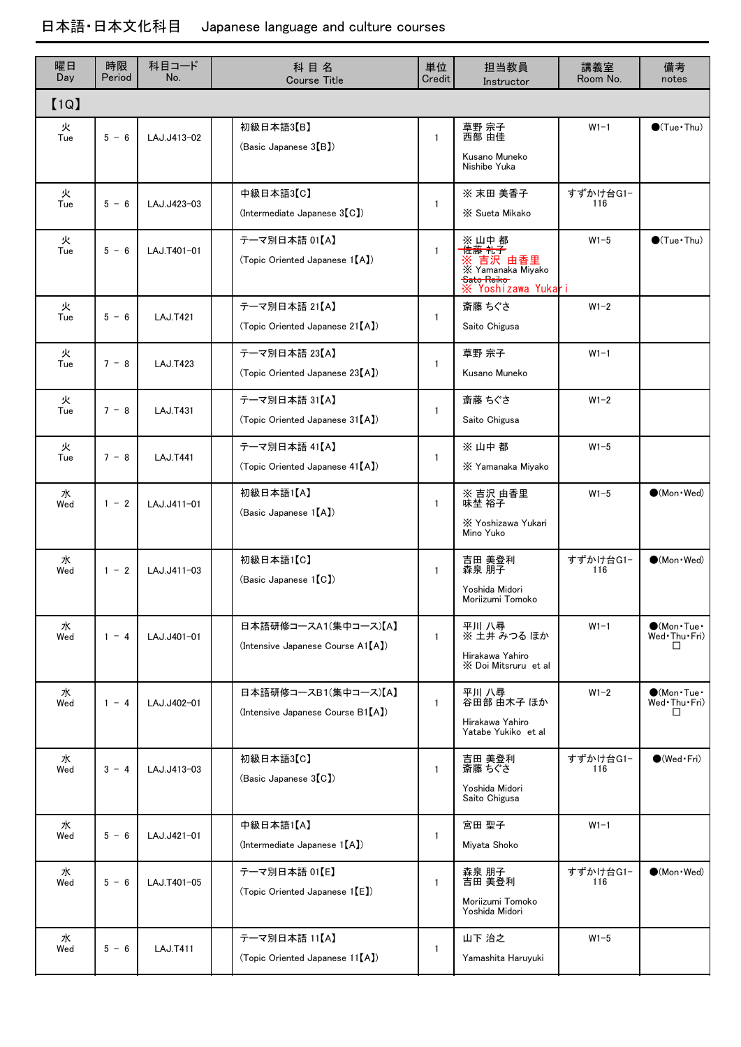| 曜日<br>Day | 時限<br>Period | 科目コード<br>No.    | 科目名<br><b>Course Title</b>                                | 単位<br>Credit | 担当教員<br>Instructor                                                                         | 講義室<br>Room No. | 備考<br>notes                                              |
|-----------|--------------|-----------------|-----------------------------------------------------------|--------------|--------------------------------------------------------------------------------------------|-----------------|----------------------------------------------------------|
| [1Q]      |              |                 |                                                           |              |                                                                                            |                 |                                                          |
| 火<br>Tue  | $5 - 6$      | LAJ.J413-02     | 初級日本語3【B】<br>(Basic Japanese 3(B)                         | $\mathbf{1}$ | 草野 宗子<br>西部 由佳<br>Kusano Muneko<br>Nishibe Yuka                                            | $W1-1$          | $\bigcirc$ (Tue · Thu)                                   |
| 火<br>Tue  | $5 - 6$      | $1 A.J.J423-03$ | 中級日本語3【C】<br>$($ Intermediate Japanese $3(C)$             | $\mathbf{1}$ | ※ 末田 美香子<br>X Sueta Mikako                                                                 | すずかけ台G1-<br>116 |                                                          |
| 火<br>Tue  | $5 - 6$      | LAJ.T401-01     | テーマ別日本語 01【A】<br>(Topic Oriented Japanese 1 [A])          | $\mathbf{1}$ | ※ 山中 都<br>佐藤 礼子<br>※ 吉沢 由香里<br>※ Yamanaka Miyako<br><b>Sato Reiko</b><br>※ Yoshizawa Yukar | $W1-5$          | $\bullet$ (Tue · Thu)                                    |
| 火<br>Tue  | $5 - 6$      | <b>LAJ.T421</b> | テーマ別日本語 21【A】<br>(Topic Oriented Japanese 21 [A])         | $\mathbf{1}$ | 斎藤 ちぐさ<br>Saito Chigusa                                                                    | $W1-2$          |                                                          |
| 火<br>Tue  | $7 - 8$      | <b>LAJ.T423</b> | テーマ別日本語 23【A】<br>(Topic Oriented Japanese 23 [A])         | $\mathbf{1}$ | 草野 宗子<br>Kusano Muneko                                                                     | $W1-1$          |                                                          |
| 火<br>Tue  | $7 - 8$      | <b>LAJ.T431</b> | テーマ別日本語 31【A】<br>(Topic Oriented Japanese 31 [A])         | $\mathbf{1}$ | 斎藤 ちぐさ<br>Saito Chigusa                                                                    | $W1-2$          |                                                          |
| 火<br>Tue  | $7 - 8$      | <b>LAJ.T441</b> | テーマ別日本語 41【A】<br>(Topic Oriented Japanese 41 [A])         | $\mathbf{1}$ | ※山中都<br>X Yamanaka Miyako                                                                  | $W1-5$          |                                                          |
| 水<br>Wed  | $1 - 2$      | LAJ.J411-01     | 初級日本語1【A】<br>(Basic Japanese 1 [A])                       | $\mathbf{1}$ | ※ 吉沢 由香里<br>味埜 裕子<br>X Yoshizawa Yukari<br>Mino Yuko                                       | $W1-5$          | $\bigcirc$ (Mon · Wed)                                   |
| 水<br>Wed  | $1 - 2$      | LAJ.J411-03     | 初級日本語1【C】<br>(Basic Japanese 1 [C])                       | $\mathbf{1}$ | 吉田 美登利<br>森泉 朋子<br>Yoshida Midori<br>Moriizumi Tomoko                                      | すずかけ台G1-<br>116 | $(Mon$ $Wed)$                                            |
| 水<br>Wed  | $1 - 4$      | LAJ.J401-01     | 日本語研修コースA1(集中コース)【A】<br>(Intensive Japanese Course A1[A]) | $\mathbf{1}$ | 平川 八尋<br>※ 土井 みつる ほか<br>Hirakawa Yahiro<br>X Doi Mitsruru et al                            | $W1-1$          | $\bigcirc$ (Mon $\cdot$ Tue $\cdot$<br>Wed Thu Fri)<br>ш |
| 水<br>Wed  | $1 - 4$      | LAJ.J402-01     | 日本語研修コースB1(集中コース)【A】<br>(Intensive Japanese Course B1[A]) | $\mathbf{1}$ | 平川 八尋<br>谷田部 由木子 ほか<br>Hirakawa Yahiro<br>Yatabe Yukiko et al                              | $W1-2$          | $\bigcirc$ (Mon·Tue·<br>Wed Thu Fri)<br>□                |
| 水<br>Wed  | $3 - 4$      | LAJ.J413-03     | 初級日本語3【C】<br>(Basic Japanese 3 <sup>[C]</sup> )           | 1            | 吉田 美登利<br>斎藤 ちぐさ<br>Yoshida Midori<br>Saito Chigusa                                        | すずかけ台G1-<br>116 | $\bigcirc$ (Wed · Fri)                                   |
| 水<br>Wed  | $5 - 6$      | LAJ.J421-01     | 中級日本語1【A】<br>$($ Intermediate Japanese $1[A]$             | 1            | 宮田 聖子<br>Miyata Shoko                                                                      | $W1-1$          |                                                          |
| 水<br>Wed  | $5 - 6$      | LAJ.T401-05     | テーマ別日本語 01【E】<br>(Topic Oriented Japanese 1 [E])          | $\mathbf{1}$ | 森泉 朋子<br>吉田 美登利<br>Moriizumi Tomoko<br>Yoshida Midori                                      | すずかけ台G1-<br>116 | $\bullet$ (Mon · Wed)                                    |
| 水<br>Wed  | $5 - 6$      | <b>LAJ.T411</b> | テーマ別日本語 11【A】<br>(Topic Oriented Japanese 11[A])          | 1            | 山下 治之<br>Yamashita Haruyuki                                                                | $W1-5$          |                                                          |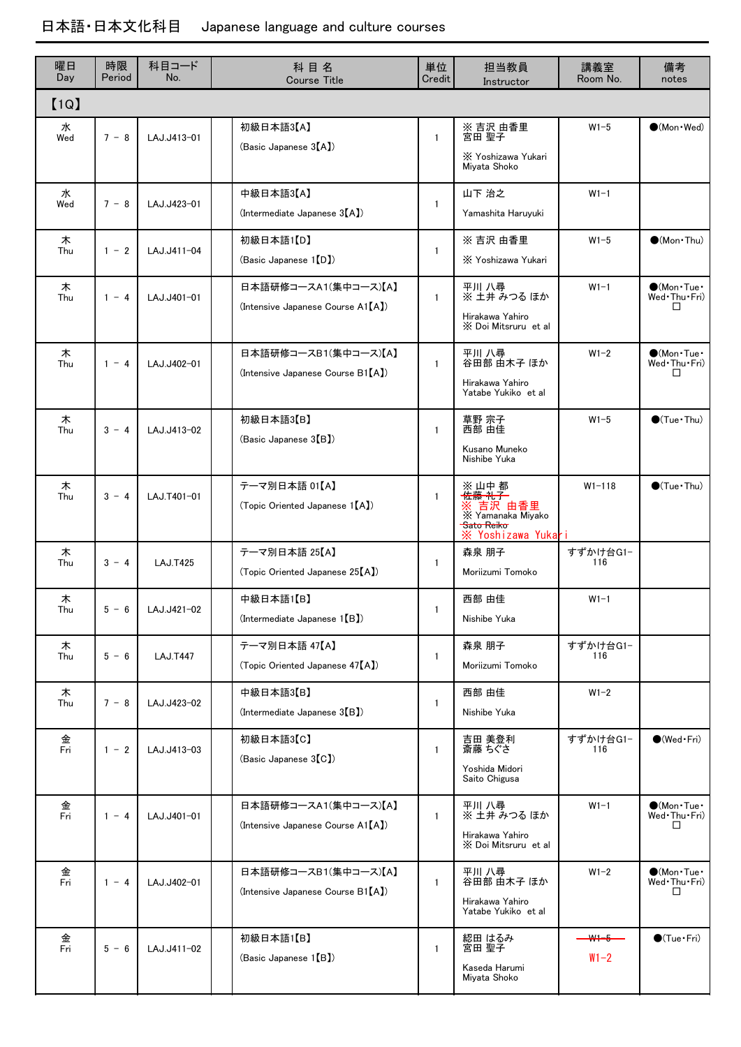| 曜日<br>Day | 時限<br>Period | 科目コード<br>No.    | 科目名<br><b>Course Title</b>                                | 単位<br>Credit | 担当教員<br>Instructor                                                                                     | 講義室<br>Room No.               | 備考<br>notes                                              |
|-----------|--------------|-----------------|-----------------------------------------------------------|--------------|--------------------------------------------------------------------------------------------------------|-------------------------------|----------------------------------------------------------|
| [1Q]      |              |                 |                                                           |              |                                                                                                        |                               |                                                          |
| 水<br>Wed  | $7 - 8$      | LAJ.J413-01     | 初級日本語3【A】<br>(Basic Japanese 3 <sup>[A])</sup>            | $\mathbf{1}$ | ※ 吉沢 由香里<br>宮田 聖子<br>X Yoshizawa Yukari<br>Miyata Shoko                                                | $W1-5$                        | $\bullet$ (Mon $\cdot$ Wed)                              |
| 水<br>Wed  | $7 - 8$      | LAJ.J423-01     | 中級日本語3【A】<br>(Intermediate Japanese $3[A]$ )              | $\mathbf{1}$ | 山下 治之<br>Yamashita Haruyuki                                                                            | $W1-1$                        |                                                          |
| 木<br>Thu  | $1 - 2$      | LAJ.J411-04     | 初級日本語1【D】<br>(Basic Japanese 1 [D])                       | $\mathbf{1}$ | ※ 吉沢 由香里<br>X Yoshizawa Yukari                                                                         | $W1-5$                        | $\bullet$ (Mon Thu)                                      |
| 木<br>Thu  | $1 - 4$      | LAJ.J401-01     | 日本語研修コースA1(集中コース)【A】<br>(Intensive Japanese Course A1[A]) | $\mathbf{1}$ | 平川 八尋<br>※ 土井 みつる ほか<br>Hirakawa Yahiro<br>X Doi Mitsruru et al                                        | $W1-1$                        | $\bigcirc$ (Mon·Tue·<br>Wed Thu Fri)<br>П                |
| 木<br>Thu  | $1 - 4$      | LAJ.J402-01     | 日本語研修コースB1(集中コース)【A】<br>(Intensive Japanese Course B1[A]) | $\mathbf{1}$ | 平川 八尋<br>谷田部 由木子 ほか<br>Hirakawa Yahiro<br>Yatabe Yukiko et al                                          | $W1-2$                        | $\bigcirc$ (Mon·Tue·<br>Wed Thu Fri)<br>□                |
| 木<br>Thu  | $3 - 4$      | LAJ.J413-02     | 初級日本語3【B】<br>(Basic Japanese 3(B)                         | $\mathbf{1}$ | 草野 宗子<br>西部 由佳<br>Kusano Muneko<br>Nishibe Yuka                                                        | $W1-5$                        | $\bigcirc$ (Tue · Thu)                                   |
| 木<br>Thu  | $3 - 4$      | LAJ.T401-01     | テーマ別日本語 01【A】<br>(Topic Oriented Japanese 1 [A])          | $\mathbf{1}$ | ※ 山中 都<br><del>佐藤 礼子</del><br>※ 吉沢 由香里<br>※ Yamanaka Miyako<br><b>Sato Reiko</b><br>X Yoshizawa Yukari | $W1 - 118$                    | $\bigcirc$ (Tue·Thu)                                     |
| 木<br>Thu  | $3 - 4$      | <b>LAJ.T425</b> | テーマ別日本語 25【A】<br>(Topic Oriented Japanese 25[A])          | 1            | 森泉 朋子<br>Moriizumi Tomoko                                                                              | すずかけ台G1-<br>116               |                                                          |
| 木<br>Thu  | $5 - 6$      | LAJ.J421-02     | 中級日本語1【B】<br>(Intermediate Japanese 1 <sup>[B]</sup> )    | $\mathbf{1}$ | 西部 由佳<br>Nishibe Yuka                                                                                  | $W1-1$                        |                                                          |
| 木<br>Thu  | $5 - 6$      | <b>LAJ.T447</b> | テーマ別日本語 47【A】<br>(Topic Oriented Japanese 47[A])          | $\mathbf{1}$ | 森泉 朋子<br>Moriizumi Tomoko                                                                              | すずかけ台G1-<br>116               |                                                          |
| 木<br>Thu  | $7 - 8$      | LAJ.J423-02     | 中級日本語3【B】<br>(Intermediate Japanese 3[B])                 | $\mathbf{1}$ | 西部 由佳<br>Nishibe Yuka                                                                                  | $W1-2$                        |                                                          |
| 金<br>Fri  | $1 - 2$      | LAJ.J413-03     | 初級日本語3【C】<br>(Basic Japanese 3 <sup>[C]</sup> )           | $\mathbf{1}$ | 吉田 美登利<br>斎藤 ちぐさ<br>Yoshida Midori<br>Saito Chigusa                                                    | すずかけ台G1-<br>116               | $\bigcirc$ (Wed Fri)                                     |
| 金<br>Fri  | $1 - 4$      | LAJ.J401-01     | 日本語研修コースA1(集中コース)【A】<br>(Intensive Japanese Course A1[A]) | 1            | 平川 八尋<br>※ 土井 みつる ほか<br>Hirakawa Yahiro<br>X Doi Mitsruru et al                                        | $W1-1$                        | $\bigcirc$ (Mon·Tue·<br>Wed Thu Fri)<br>ப                |
| 金<br>Fri  | $1 - 4$      | LAJ.J402-01     | 日本語研修コースB1(集中コース)【A】<br>(Intensive Japanese Course B1[A]) | $\mathbf{1}$ | 平川 八尋<br>谷田部 由木子 ほか<br>Hirakawa Yahiro<br>Yatabe Yukiko et al                                          | $W1-2$                        | $\bigcirc$ (Mon $\cdot$ Tue $\cdot$<br>Wed Thu Fri)<br>□ |
| 金<br>Fri  | $5 - 6$      | LAJ.J411-02     | 初級日本語1【B】<br>(Basic Japanese 1 <sup>[B]</sup> )           | $\mathbf{1}$ | 綛田 はるみ<br>宮田 聖子<br>Kaseda Harumi<br>Miyata Shoko                                                       | - <del>114-5-</del><br>$W1-2$ | $\bigcirc$ (Tue · Fri)                                   |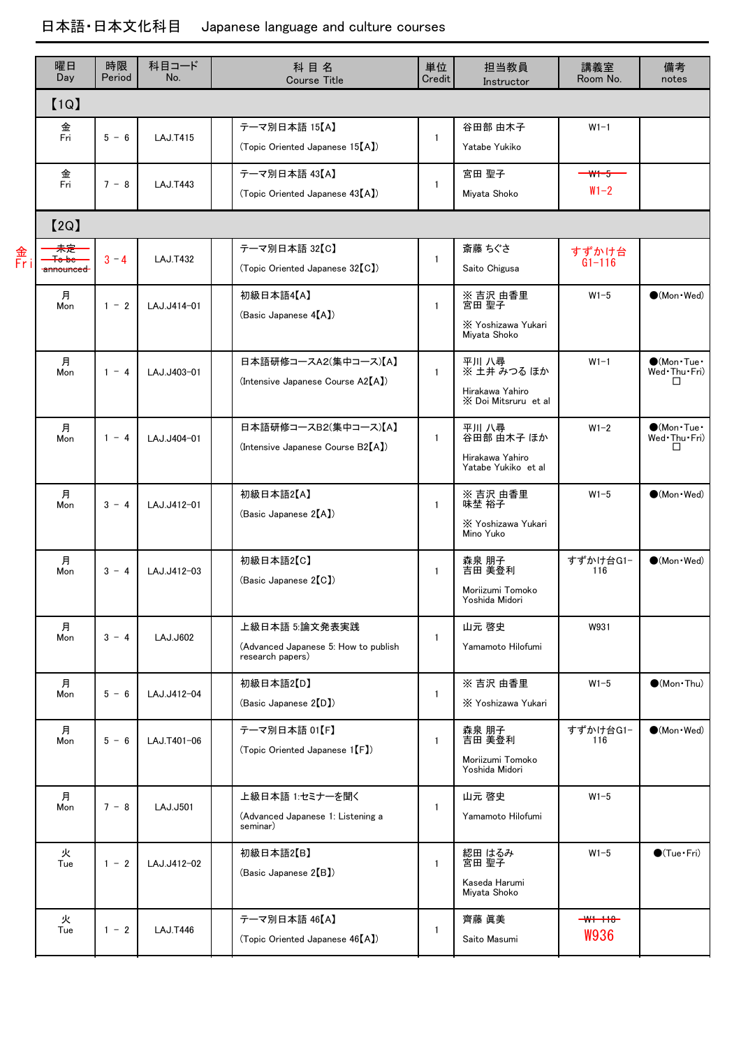|         | 曜日<br>Day       | 時限<br>Period | 科目コード<br>No.    | 科目名<br><b>Course Title</b>                                                 | 単位<br>Credit | 担当教員<br>Instructor                                              | 講義室<br>Room No.               | 備考<br>notes                                              |
|---------|-----------------|--------------|-----------------|----------------------------------------------------------------------------|--------------|-----------------------------------------------------------------|-------------------------------|----------------------------------------------------------|
|         | [1Q]            |              |                 |                                                                            |              |                                                                 |                               |                                                          |
|         | 金<br>Fri        | $5 - 6$      | <b>LAJ.T415</b> | テーマ別日本語 15【A】<br>(Topic Oriented Japanese 15 <sup>[A])</sup>               | $\mathbf{1}$ | 谷田部 由木子<br>Yatabe Yukiko                                        | $W1-1$                        |                                                          |
|         | 金<br>Fri        | $7 - 8$      | <b>LAJ.T443</b> | テーマ別日本語 43【A】<br>(Topic Oriented Japanese 43[A])                           | $\mathbf{1}$ | 宮田 聖子<br>Miyata Shoko                                           | <del>- W1-5 -</del><br>$W1-2$ |                                                          |
|         | [2Q]            |              |                 |                                                                            |              |                                                                 |                               |                                                          |
| 金<br>Fr | 未定<br>announced | $3 - 4$      | <b>LAJ.T432</b> | テーマ別日本語 32【C】<br>(Topic Oriented Japanese 32 [C])                          | $\mathbf{1}$ | 斎藤 ちぐさ<br>Saito Chigusa                                         | すずかけ台<br>$G1 - 116$           |                                                          |
|         | 月<br>Mon        | $1 - 2$      | LAJ.J414-01     | 初級日本語4【A】<br>(Basic Japanese 4[A])                                         | $\mathbf{1}$ | ※ 吉沢 由香里<br>宮田 聖子<br>X Yoshizawa Yukari<br>Miyata Shoko         | $W1-5$                        | $\bullet$ (Mon $\cdot$ Wed)                              |
|         | 月<br>Mon        | $1 - 4$      | LAJ.J403-01     | 日本語研修コースA2(集中コース)【A】<br>(Intensive Japanese Course A2[A])                  | $\mathbf{1}$ | 平川 八尋<br>※ 土井 みつる ほか<br>Hirakawa Yahiro<br>X Doi Mitsruru et al | $W1-1$                        | $OMon$ Tue<br>Wed Thu Fri)<br>П                          |
|         | 月<br>Mon        | $1 - 4$      | LAJ.J404-01     | 日本語研修コースB2(集中コース)【A】<br>(Intensive Japanese Course B2[A])                  | $\mathbf{1}$ | 平川 八尋<br>谷田部 由木子 ほか<br>Hirakawa Yahiro<br>Yatabe Yukiko et al   | $W1-2$                        | $\bigcirc$ (Mon $\cdot$ Tue $\cdot$<br>Wed Thu Fri)<br>□ |
|         | 月<br>Mon        | $3 - 4$      | LAJ.J412-01     | 初級日本語2【A】<br>(Basic Japanese 2[A])                                         | $\mathbf{1}$ | ※ 吉沢 由香里<br>味埜 裕子<br>X Yoshizawa Yukari<br>Mino Yuko            | $W1-5$                        | $\bullet$ (Mon · Wed)                                    |
|         | 月<br>Mon        | $3 - 4$      | LAJ.J412-03     | 初級日本語2【C】<br>(Basic Japanese 2 <sup>[C]</sup> )                            | $\mathbf{1}$ | 森泉 朋子<br>吉田 美登利<br>Moriizumi Tomoko<br>Yoshida Midori           | すずかけ台G1-<br>116               | $\bullet$ (Mon · Wed)                                    |
|         | 月<br>Mon        | $3 - 4$      | LAJ.J602        | 上級日本語 5:論文発表実践<br>(Advanced Japanese 5: How to publish<br>research papers) | $\mathbf{1}$ | 山元 啓史<br>Yamamoto Hilofumi                                      | W931                          |                                                          |
|         | 月<br>Mon        | $5 - 6$      | LAJ.J412-04     | 初級日本語2【D】<br>(Basic Japanese 2 <sup>[D]</sup> )                            | 1            | ※ 吉沢 由香里<br>X Yoshizawa Yukari                                  | $W1-5$                        | $\bigcirc$ (Mon Thu)                                     |
|         | 月<br>Mon        | $5 - 6$      | LAJ.T401-06     | テーマ別日本語 01【F】<br>(Topic Oriented Japanese 1 [F])                           | $\mathbf{1}$ | 森泉 朋子<br>吉田 美登利<br>Moriizumi Tomoko<br>Yoshida Midori           | すずかけ台G1-<br>116               | $(Mon$ $Wed)$                                            |
|         | 月<br>Mon        | $7 - 8$      | <b>LAJ.J501</b> | 上級日本語 1:セミナーを聞く<br>(Advanced Japanese 1: Listening a<br>seminar)           | 1            | 山元 啓史<br>Yamamoto Hilofumi                                      | $W1-5$                        |                                                          |
|         | 火<br>Tue        | $1 - 2$      | LAJ.J412-02     | 初級日本語2【B】<br>(Basic Japanese 2 <sup>[B]</sup> )                            | $\mathbf{1}$ | 綛田 はるみ<br>宮田 聖子<br>Kaseda Harumi<br>Miyata Shoko                | $W1-5$                        | $\bigcirc$ (Tue · Fri)                                   |
|         | 火<br>Tue        | $1 - 2$      | <b>LAJ.T446</b> | テーマ別日本語 46【A】<br>(Topic Oriented Japanese 46[A])                           | $\mathbf{1}$ | 齊藤 眞美<br>Saito Masumi                                           | $-W1 - 118$<br><b>W936</b>    |                                                          |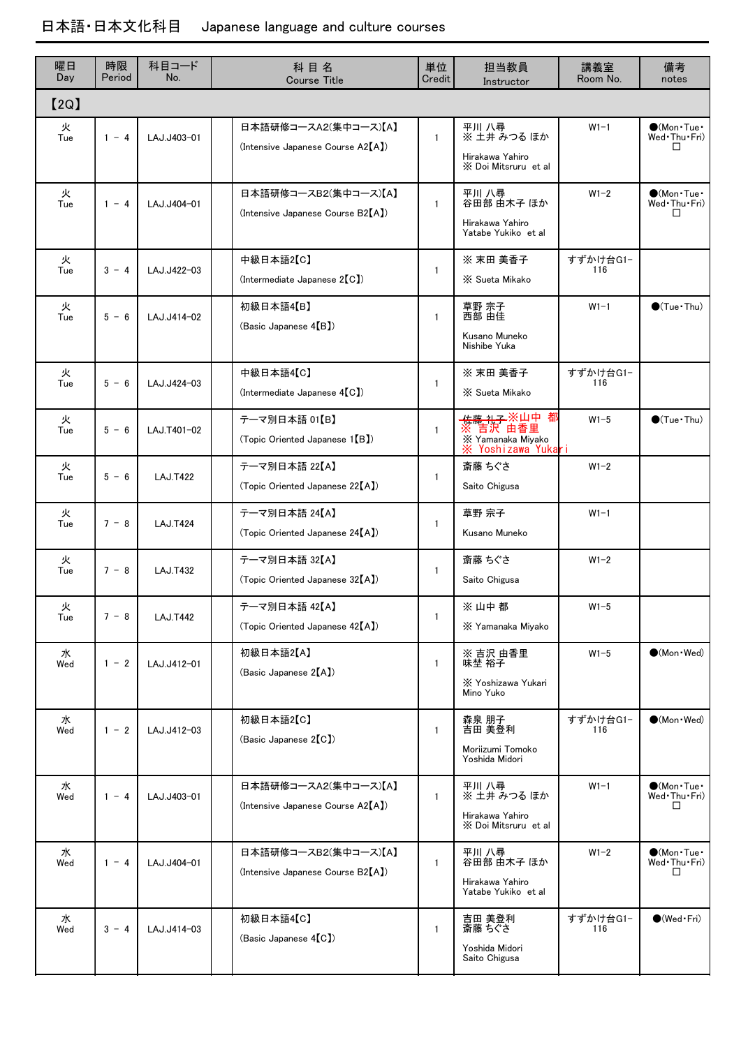| 曜日<br>Day | 時限<br>Period | 科目コード<br>No.    | 科目名<br><b>Course Title</b>                                | 単位<br>Credit | 担当教員<br>Instructor                                                            | 講義室<br>Room No. | 備考<br>notes                                               |
|-----------|--------------|-----------------|-----------------------------------------------------------|--------------|-------------------------------------------------------------------------------|-----------------|-----------------------------------------------------------|
| [2Q]      |              |                 |                                                           |              |                                                                               |                 |                                                           |
| 火<br>Tue  | $1 - 4$      | LAJ.J403-01     | 日本語研修コースA2(集中コース)【A】<br>(Intensive Japanese Course A2[A]) | $\mathbf{1}$ | 平川 八尋<br>※ 土井 みつる ほか<br>Hirakawa Yahiro<br>X Doi Mitsruru et al               | $W1-1$          | $\bigcirc$ (Mon $\cdot$ Tue $\cdot$<br>Wed Thu Fri)<br>H  |
| 火<br>Tue  | $1 - 4$      | LAJ.J404-01     | 日本語研修コースB2(集中コース)【A】<br>(Intensive Japanese Course B2[A]) | $\mathbf{1}$ | 平川 八尋<br>谷田部 由木子 ほか<br>Hirakawa Yahiro<br>Yatabe Yukiko et al                 | $W1-2$          | $\bigcirc$ (Mon $\cdot$ Tue $\cdot$<br>Wed Thu Fri)<br>ΙI |
| 火<br>Tue  | $3 - 4$      | LAJ.J422-03     | 中級日本語2【C】<br>$($ Intermediate Japanese 2 $(C)$            | $\mathbf{1}$ | ※ 末田 美香子<br>X Sueta Mikako                                                    | すずかけ台G1-<br>116 |                                                           |
| 火<br>Tue  | $5 - 6$      | LAJ.J414-02     | 初級日本語4【B】<br>(Basic Japanese 4(B)                         | $\mathbf{1}$ | 草野 宗子<br>西部 由佳<br>Kusano Muneko<br>Nishibe Yuka                               | $W1-1$          | $\bigcirc$ (Tue · Thu)                                    |
| 火<br>Tue  | $5 - 6$      | LAJ.J424-03     | 中級日本語4【C】<br>$($ Intermediate Japanese $4[C]$             | $\mathbf{1}$ | ※ 末田 美香子<br>X Sueta Mikako                                                    | すずかけ台G1-<br>116 |                                                           |
| 火<br>Tue  | $5 - 6$      | LAJ.T401-02     | テーマ別日本語 01【B】<br>(Topic Oriented Japanese 1[B])           | $\mathbf{1}$ | <del>佐藤 礼子</del> ※山中 都<br>※ 吉沢 由香里<br>X Yamanaka Miyako<br>※ Yoshizawa Yukari | $W1-5$          | $\bigcirc$ (Tue · Thu)                                    |
| 火<br>Tue  | $5 - 6$      | <b>LAJ.T422</b> | テーマ別日本語 22【A】<br>(Topic Oriented Japanese 22[A])          | $\mathbf{1}$ | 斎藤 ちぐさ<br>Saito Chigusa                                                       | $W1-2$          |                                                           |
| 火<br>Tue  | $7 - 8$      | <b>LAJ.T424</b> | テーマ別日本語 24【A】<br>(Topic Oriented Japanese 24[A])          | $\mathbf{1}$ | 草野 宗子<br>Kusano Muneko                                                        | $W1-1$          |                                                           |
| 火<br>Tue  | $7 - 8$      | <b>LAJ.T432</b> | テーマ別日本語 32【A】<br>(Topic Oriented Japanese 32[A])          | $\mathbf{1}$ | 斎藤 ちぐさ<br>Saito Chigusa                                                       | $W1-2$          |                                                           |
| 火<br>Tue  | $7 - 8$      | <b>LAJ.T442</b> | テーマ別日本語 42【A】<br>(Topic Oriented Japanese 42[A])          | $\mathbf{1}$ | ※山中都<br>X Yamanaka Miyako                                                     | $W1-5$          |                                                           |
| 水<br>Wed  | $1 - 2$      | LAJ.J412-01     | 初級日本語2【A】<br>(Basic Japanese 2[A])                        | $\mathbf{1}$ | ※ 吉沢 由香里<br>味埜 裕子<br>X Yoshizawa Yukari<br>Mino Yuko                          | $W1-5$          | $\bullet$ (Mon $\cdot$ Wed)                               |
| 水<br>Wed  | $1 - 2$      | LAJ.J412-03     | 初級日本語2【C】<br>(Basic Japanese 2 <sup>[C]</sup> )           | $\mathbf{1}$ | 森泉 朋子<br>吉田 美登利<br>Moriizumi Tomoko<br>Yoshida Midori                         | すずかけ台G1-<br>116 | $\bullet$ (Mon $\cdot$ Wed)                               |
| 水<br>Wed  | $1 - 4$      | LAJ.J403-01     | 日本語研修コースA2(集中コース)【A】<br>(Intensive Japanese Course A2[A]) | $\mathbf{1}$ | 平川 八尋<br>※ 土井 みつる ほか<br>Hirakawa Yahiro<br>X Doi Mitsruru et al               | $W1-1$          | $\bigcirc$ (Mon $\cdot$ Tue $\cdot$<br>Wed Thu Fri)<br>□  |
| 水<br>Wed  | $1 - 4$      | LAJ.J404-01     | 日本語研修コースB2(集中コース)【A】<br>(Intensive Japanese Course B2[A]) | $\mathbf{1}$ | 平川 八尋<br>谷田部 由木子 ほか<br>Hirakawa Yahiro<br>Yatabe Yukiko et al                 | $W1-2$          | $\bigcirc$ (Mon $\cdot$ Tue $\cdot$<br>Wed Thu Fri)<br>□  |
| 水<br>Wed  | $3 - 4$      | LAJ.J414-03     | 初級日本語4【C】<br>(Basic Japanese 4[C])                        | $\mathbf{1}$ | 吉田 美登利<br>斎藤 ちぐさ<br>Yoshida Midori<br>Saito Chigusa                           | すずかけ台G1-<br>116 | $\bigcirc$ (Wed Fri)                                      |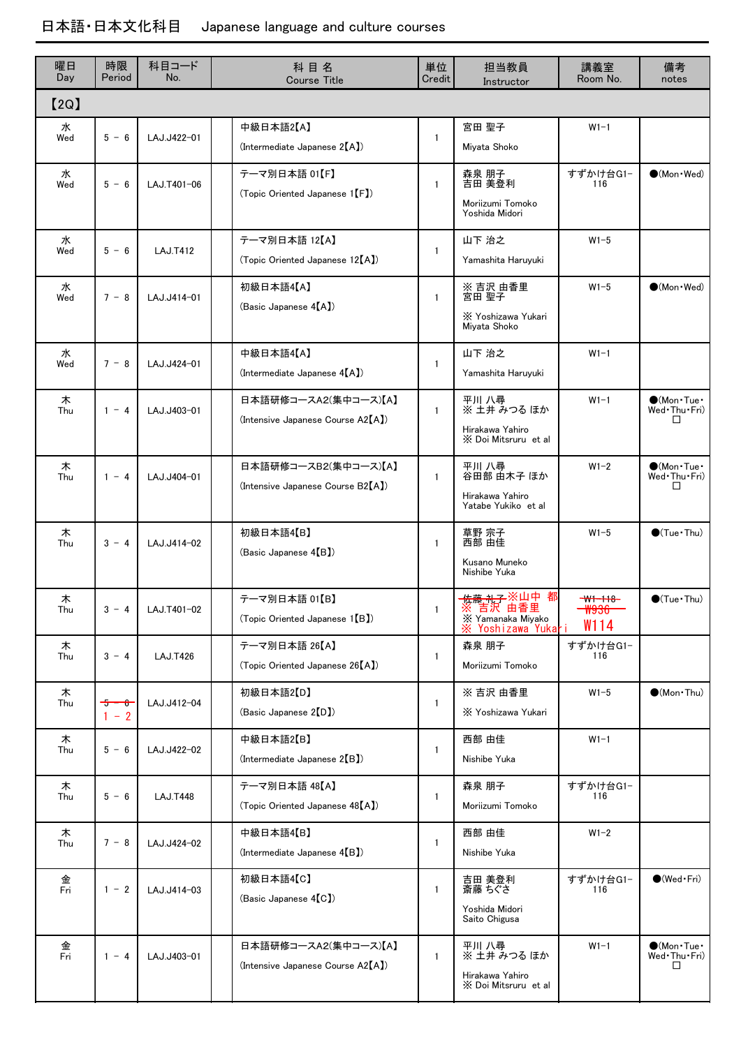| 曜日<br>Day | 時限<br>Period       | 科目コード<br>No.    | 科目名<br><b>Course Title</b>                                   | 単位<br>Credit | 担当教員<br>Instructor                                                                   | 講義室<br>Room No.               | 備考<br>notes                                              |
|-----------|--------------------|-----------------|--------------------------------------------------------------|--------------|--------------------------------------------------------------------------------------|-------------------------------|----------------------------------------------------------|
| [2Q]      |                    |                 |                                                              |              |                                                                                      |                               |                                                          |
| 水<br>Wed  | $5 - 6$            | LAJ.J422-01     | 中級日本語2【A】<br>$($ Intermediate Japanese 2 $(A)$               | 1            | 宮田 聖子<br>Miyata Shoko                                                                | $W1-1$                        |                                                          |
| 水<br>Wed  | $5 - 6$            | LAJ.T401-06     | テーマ別日本語 01【F】<br>(Topic Oriented Japanese 1 <sup>[F]</sup> ) | 1            | 森泉 朋子<br>吉田 美登利<br>Moriizumi Tomoko<br>Yoshida Midori                                | すずかけ台G1-<br>116               | $\bullet$ (Mon $\cdot$ Wed)                              |
| 水<br>Wed  | $5 - 6$            | <b>LAJ.T412</b> | テーマ別日本語 12【A】<br>(Topic Oriented Japanese 12[A])             | 1            | 山下 治之<br>Yamashita Haruyuki                                                          | $W1-5$                        |                                                          |
| 水<br>Wed  | $7 - 8$            | LAJ.J414-01     | 初級日本語4【A】<br>(Basic Japanese 4[A])                           | $\mathbf{1}$ | ※吉沢由香里<br>宮田 聖子<br>X Yoshizawa Yukari<br>Miyata Shoko                                | $W1-5$                        | $\bullet$ (Mon $\cdot$ Wed)                              |
| 水<br>Wed  | $7 - 8$            | LAJ.J424-01     | 中級日本語4【A】<br>(Intermediate Japanese 4[A])                    | 1            | 山下 治之<br>Yamashita Haruyuki                                                          | $W1-1$                        |                                                          |
| 木<br>Thu  | $1 - 4$            | LAJ.J403-01     | 日本語研修コースA2(集中コース)【A】<br>(Intensive Japanese Course A2[A])    | 1            | 平川 八尋<br>※ 土井 みつる ほか<br>Hirakawa Yahiro<br>X Doi Mitsruru et al                      | $W1-1$                        | $\bigcirc$ (Mon $\cdot$ Tue $\cdot$<br>Wed Thu Fri)<br>□ |
| 木<br>Thu  | $1 - 4$            | LAJ.J404-01     | 日本語研修コースB2(集中コース)【A】<br>(Intensive Japanese Course B2[A])    | 1            | 平川 八尋<br>谷田部 由木子 ほか<br>Hirakawa Yahiro<br>Yatabe Yukiko et al                        | $W1-2$                        | $\bigcirc$ (Mon·Tue·<br>Wed Thu Fri)<br>П                |
| 木<br>Thu  | $3 - 4$            | LAJ.J414-02     | 初級日本語4【B】<br>(Basic Japanese 4(B)                            | $\mathbf{1}$ | 草野 宗子<br>西部 由佳<br>Kusano Muneko<br>Nishibe Yuka                                      | $W1-5$                        | $\bigcirc$ (Tue · Thu)                                   |
| 木<br>Thu  | $3 - 4$            | LAJ.T401-02     | テーマ別日本語 01【B】<br>(Topic Oriented Japanese 1 <sup>[B]</sup> ) | 1.           | 都<br>传藤·礼子·※山中<br>こうしょう 春田 かんかん かんきょう<br>X Yamanaka Miyako<br>ж.<br>Yoshizawa Yukari | $-W1 - 118 -$<br>ຑໟຩຩ<br>W114 | $\bigcirc$ (Tue · Thu)                                   |
| 木<br>Thu  | $3 - 4$            | <b>LAJ.T426</b> | テーマ別日本語 26【A】<br>(Topic Oriented Japanese 26 [A])            | 1            | 森泉 朋子<br>Moriizumi Tomoko                                                            | すずかけ台G1-<br>116               |                                                          |
| 木<br>Thu  | $5 - 6$<br>$1 - 2$ | LAJ.J412-04     | 初級日本語2【D】<br>(Basic Japanese 2 <sup>[D]</sup> )              | 1            | ※吉沢由香里<br>X Yoshizawa Yukari                                                         | $W1-5$                        | $\bullet$ (Mon Thu)                                      |
| 木<br>Thu  | $5 - 6$            | LAJ.J422-02     | 中級日本語2【B】<br>$($ Intermediate Japanese 2 $(B)$               | 1            | 西部 由佳<br>Nishibe Yuka                                                                | $W1-1$                        |                                                          |
| 木<br>Thu  | $5 - 6$            | <b>LAJ.T448</b> | テーマ別日本語 48【A】<br>(Topic Oriented Japanese 48 [A])            | 1            | 森泉 朋子<br>Moriizumi Tomoko                                                            | すずかけ台G1-<br>116               |                                                          |
| 木<br>Thu  | $7 - 8$            | LAJ.J424-02     | 中級日本語4【B】<br>$($ Intermediate Japanese $4(B)$                | 1            | 西部 由佳<br>Nishibe Yuka                                                                | $W1-2$                        |                                                          |
| 金<br>Fri  | $1 - 2$            | LAJ.J414-03     | 初級日本語4【C】<br>(Basic Japanese 4 <sup>[C]</sup> )              | 1            | 吉田 美登利<br>斎藤 ちぐさ<br>Yoshida Midori<br>Saito Chigusa                                  | すずかけ台G1-<br>116               | $\bigcirc$ (Wed Fri)                                     |
| 金<br>Fri  | $1 - 4$            | LAJ.J403-01     | 日本語研修コースA2(集中コース)【A】<br>(Intensive Japanese Course A2[A])    | $\mathbf{1}$ | 平川 八尋<br>※ 土井 みつる ほか<br>Hirakawa Yahiro<br>X Doi Mitsruru et al                      | $W1-1$                        | $\bullet$ (Mon·Tue·<br>Wed Thu Fri)<br>$\mathsf{L}$      |